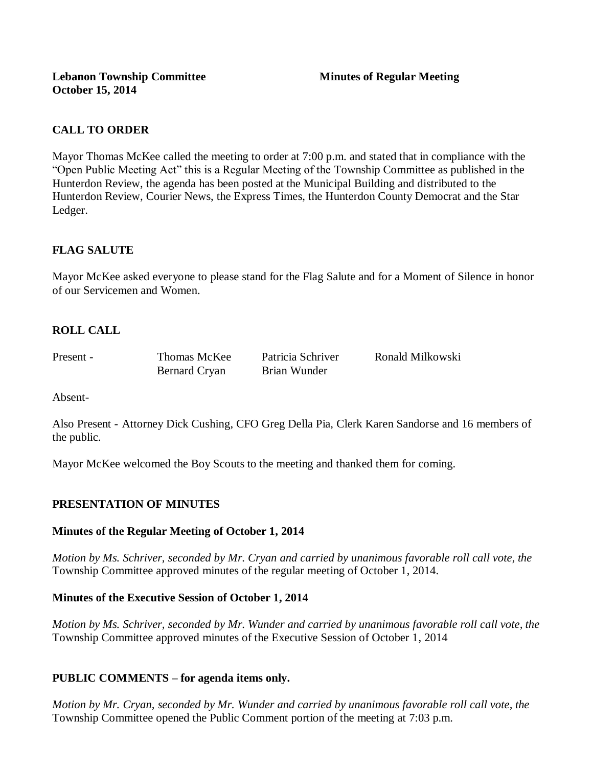# **CALL TO ORDER**

Mayor Thomas McKee called the meeting to order at 7:00 p.m. and stated that in compliance with the "Open Public Meeting Act" this is a Regular Meeting of the Township Committee as published in the Hunterdon Review, the agenda has been posted at the Municipal Building and distributed to the Hunterdon Review, Courier News, the Express Times, the Hunterdon County Democrat and the Star Ledger.

# **FLAG SALUTE**

Mayor McKee asked everyone to please stand for the Flag Salute and for a Moment of Silence in honor of our Servicemen and Women.

# **ROLL CALL**

Bernard Cryan Brian Wunder

Present - Thomas McKee Patricia Schriver Ronald Milkowski

Absent-

Also Present - Attorney Dick Cushing, CFO Greg Della Pia, Clerk Karen Sandorse and 16 members of the public.

Mayor McKee welcomed the Boy Scouts to the meeting and thanked them for coming.

## **PRESENTATION OF MINUTES**

### **Minutes of the Regular Meeting of October 1, 2014**

*Motion by Ms. Schriver, seconded by Mr. Cryan and carried by unanimous favorable roll call vote, the*  Township Committee approved minutes of the regular meeting of October 1, 2014.

### **Minutes of the Executive Session of October 1, 2014**

*Motion by Ms. Schriver, seconded by Mr. Wunder and carried by unanimous favorable roll call vote, the*  Township Committee approved minutes of the Executive Session of October 1, 2014

### **PUBLIC COMMENTS – for agenda items only.**

*Motion by Mr. Cryan, seconded by Mr. Wunder and carried by unanimous favorable roll call vote, the* Township Committee opened the Public Comment portion of the meeting at 7:03 p.m.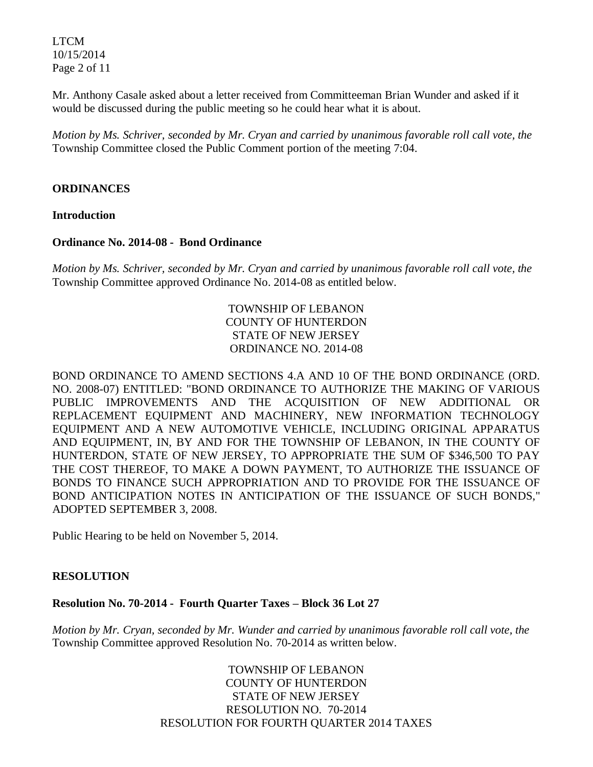LTCM 10/15/2014 Page 2 of 11

Mr. Anthony Casale asked about a letter received from Committeeman Brian Wunder and asked if it would be discussed during the public meeting so he could hear what it is about.

*Motion by Ms. Schriver, seconded by Mr. Cryan and carried by unanimous favorable roll call vote, the* Township Committee closed the Public Comment portion of the meeting 7:04.

### **ORDINANCES**

**Introduction**

### **Ordinance No. 2014-08 - Bond Ordinance**

*Motion by Ms. Schriver, seconded by Mr. Cryan and carried by unanimous favorable roll call vote, the* Township Committee approved Ordinance No. 2014-08 as entitled below.

> TOWNSHIP OF LEBANON COUNTY OF HUNTERDON STATE OF NEW JERSEY ORDINANCE NO. 2014-08

BOND ORDINANCE TO AMEND SECTIONS 4.A AND 10 OF THE BOND ORDINANCE (ORD. NO. 2008-07) ENTITLED: "BOND ORDINANCE TO AUTHORIZE THE MAKING OF VARIOUS PUBLIC IMPROVEMENTS AND THE ACQUISITION OF NEW ADDITIONAL OR REPLACEMENT EQUIPMENT AND MACHINERY, NEW INFORMATION TECHNOLOGY EQUIPMENT AND A NEW AUTOMOTIVE VEHICLE, INCLUDING ORIGINAL APPARATUS AND EQUIPMENT, IN, BY AND FOR THE TOWNSHIP OF LEBANON, IN THE COUNTY OF HUNTERDON, STATE OF NEW JERSEY, TO APPROPRIATE THE SUM OF \$346,500 TO PAY THE COST THEREOF, TO MAKE A DOWN PAYMENT, TO AUTHORIZE THE ISSUANCE OF BONDS TO FINANCE SUCH APPROPRIATION AND TO PROVIDE FOR THE ISSUANCE OF BOND ANTICIPATION NOTES IN ANTICIPATION OF THE ISSUANCE OF SUCH BONDS," ADOPTED SEPTEMBER 3, 2008.

Public Hearing to be held on November 5, 2014.

### **RESOLUTION**

### **Resolution No. 70-2014 - Fourth Quarter Taxes – Block 36 Lot 27**

*Motion by Mr. Cryan, seconded by Mr. Wunder and carried by unanimous favorable roll call vote, the* Township Committee approved Resolution No. 70-2014 as written below.

> TOWNSHIP OF LEBANON COUNTY OF HUNTERDON STATE OF NEW JERSEY RESOLUTION NO. 70-2014 RESOLUTION FOR FOURTH QUARTER 2014 TAXES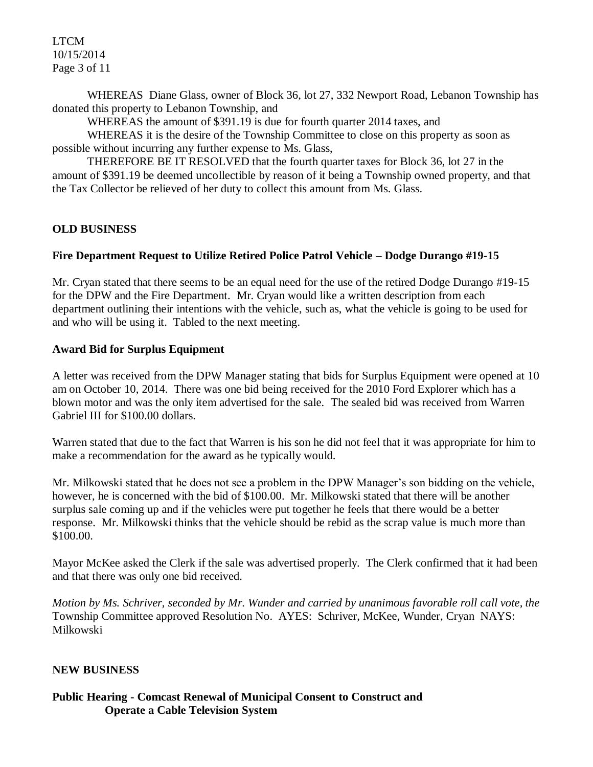LTCM 10/15/2014 Page 3 of 11

WHEREAS Diane Glass, owner of Block 36, lot 27, 332 Newport Road, Lebanon Township has donated this property to Lebanon Township, and

WHEREAS the amount of \$391.19 is due for fourth quarter 2014 taxes, and

WHEREAS it is the desire of the Township Committee to close on this property as soon as possible without incurring any further expense to Ms. Glass,

THEREFORE BE IT RESOLVED that the fourth quarter taxes for Block 36, lot 27 in the amount of \$391.19 be deemed uncollectible by reason of it being a Township owned property, and that the Tax Collector be relieved of her duty to collect this amount from Ms. Glass.

### **OLD BUSINESS**

## **Fire Department Request to Utilize Retired Police Patrol Vehicle – Dodge Durango #19-15**

Mr. Cryan stated that there seems to be an equal need for the use of the retired Dodge Durango #19-15 for the DPW and the Fire Department. Mr. Cryan would like a written description from each department outlining their intentions with the vehicle, such as, what the vehicle is going to be used for and who will be using it. Tabled to the next meeting.

### **Award Bid for Surplus Equipment**

A letter was received from the DPW Manager stating that bids for Surplus Equipment were opened at 10 am on October 10, 2014. There was one bid being received for the 2010 Ford Explorer which has a blown motor and was the only item advertised for the sale. The sealed bid was received from Warren Gabriel III for \$100.00 dollars.

Warren stated that due to the fact that Warren is his son he did not feel that it was appropriate for him to make a recommendation for the award as he typically would.

Mr. Milkowski stated that he does not see a problem in the DPW Manager's son bidding on the vehicle, however, he is concerned with the bid of \$100.00. Mr. Milkowski stated that there will be another surplus sale coming up and if the vehicles were put together he feels that there would be a better response. Mr. Milkowski thinks that the vehicle should be rebid as the scrap value is much more than \$100.00.

Mayor McKee asked the Clerk if the sale was advertised properly. The Clerk confirmed that it had been and that there was only one bid received.

*Motion by Ms. Schriver, seconded by Mr. Wunder and carried by unanimous favorable roll call vote, the* Township Committee approved Resolution No. AYES: Schriver, McKee, Wunder, Cryan NAYS: Milkowski

### **NEW BUSINESS**

## **Public Hearing - Comcast Renewal of Municipal Consent to Construct and Operate a Cable Television System**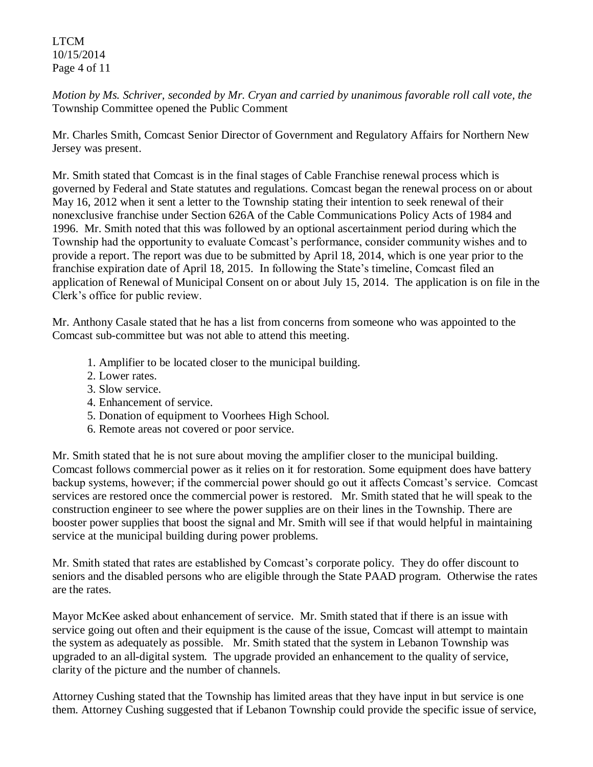LTCM 10/15/2014 Page 4 of 11

*Motion by Ms. Schriver, seconded by Mr. Cryan and carried by unanimous favorable roll call vote, the* Township Committee opened the Public Comment

Mr. Charles Smith, Comcast Senior Director of Government and Regulatory Affairs for Northern New Jersey was present.

Mr. Smith stated that Comcast is in the final stages of Cable Franchise renewal process which is governed by Federal and State statutes and regulations. Comcast began the renewal process on or about May 16, 2012 when it sent a letter to the Township stating their intention to seek renewal of their nonexclusive franchise under Section 626A of the Cable Communications Policy Acts of 1984 and 1996. Mr. Smith noted that this was followed by an optional ascertainment period during which the Township had the opportunity to evaluate Comcast's performance, consider community wishes and to provide a report. The report was due to be submitted by April 18, 2014, which is one year prior to the franchise expiration date of April 18, 2015. In following the State's timeline, Comcast filed an application of Renewal of Municipal Consent on or about July 15, 2014. The application is on file in the Clerk's office for public review.

Mr. Anthony Casale stated that he has a list from concerns from someone who was appointed to the Comcast sub-committee but was not able to attend this meeting.

- 1. Amplifier to be located closer to the municipal building.
- 2. Lower rates.
- 3. Slow service.
- 4. Enhancement of service.
- 5. Donation of equipment to Voorhees High School.
- 6. Remote areas not covered or poor service.

Mr. Smith stated that he is not sure about moving the amplifier closer to the municipal building. Comcast follows commercial power as it relies on it for restoration. Some equipment does have battery backup systems, however; if the commercial power should go out it affects Comcast's service. Comcast services are restored once the commercial power is restored. Mr. Smith stated that he will speak to the construction engineer to see where the power supplies are on their lines in the Township. There are booster power supplies that boost the signal and Mr. Smith will see if that would helpful in maintaining service at the municipal building during power problems.

Mr. Smith stated that rates are established by Comcast's corporate policy. They do offer discount to seniors and the disabled persons who are eligible through the State PAAD program. Otherwise the rates are the rates.

Mayor McKee asked about enhancement of service. Mr. Smith stated that if there is an issue with service going out often and their equipment is the cause of the issue, Comcast will attempt to maintain the system as adequately as possible. Mr. Smith stated that the system in Lebanon Township was upgraded to an all-digital system. The upgrade provided an enhancement to the quality of service, clarity of the picture and the number of channels.

Attorney Cushing stated that the Township has limited areas that they have input in but service is one them. Attorney Cushing suggested that if Lebanon Township could provide the specific issue of service,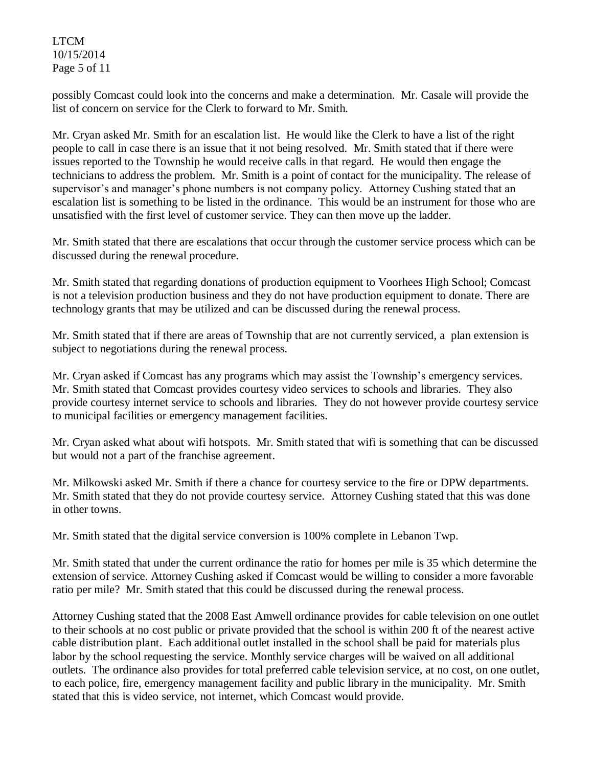LTCM 10/15/2014 Page 5 of 11

possibly Comcast could look into the concerns and make a determination. Mr. Casale will provide the list of concern on service for the Clerk to forward to Mr. Smith.

Mr. Cryan asked Mr. Smith for an escalation list. He would like the Clerk to have a list of the right people to call in case there is an issue that it not being resolved. Mr. Smith stated that if there were issues reported to the Township he would receive calls in that regard. He would then engage the technicians to address the problem. Mr. Smith is a point of contact for the municipality. The release of supervisor's and manager's phone numbers is not company policy. Attorney Cushing stated that an escalation list is something to be listed in the ordinance. This would be an instrument for those who are unsatisfied with the first level of customer service. They can then move up the ladder.

Mr. Smith stated that there are escalations that occur through the customer service process which can be discussed during the renewal procedure.

Mr. Smith stated that regarding donations of production equipment to Voorhees High School; Comcast is not a television production business and they do not have production equipment to donate. There are technology grants that may be utilized and can be discussed during the renewal process.

Mr. Smith stated that if there are areas of Township that are not currently serviced, a plan extension is subject to negotiations during the renewal process.

Mr. Cryan asked if Comcast has any programs which may assist the Township's emergency services. Mr. Smith stated that Comcast provides courtesy video services to schools and libraries. They also provide courtesy internet service to schools and libraries. They do not however provide courtesy service to municipal facilities or emergency management facilities.

Mr. Cryan asked what about wifi hotspots. Mr. Smith stated that wifi is something that can be discussed but would not a part of the franchise agreement.

Mr. Milkowski asked Mr. Smith if there a chance for courtesy service to the fire or DPW departments. Mr. Smith stated that they do not provide courtesy service. Attorney Cushing stated that this was done in other towns.

Mr. Smith stated that the digital service conversion is 100% complete in Lebanon Twp.

Mr. Smith stated that under the current ordinance the ratio for homes per mile is 35 which determine the extension of service. Attorney Cushing asked if Comcast would be willing to consider a more favorable ratio per mile? Mr. Smith stated that this could be discussed during the renewal process.

Attorney Cushing stated that the 2008 East Amwell ordinance provides for cable television on one outlet to their schools at no cost public or private provided that the school is within 200 ft of the nearest active cable distribution plant. Each additional outlet installed in the school shall be paid for materials plus labor by the school requesting the service. Monthly service charges will be waived on all additional outlets. The ordinance also provides for total preferred cable television service, at no cost, on one outlet, to each police, fire, emergency management facility and public library in the municipality. Mr. Smith stated that this is video service, not internet, which Comcast would provide.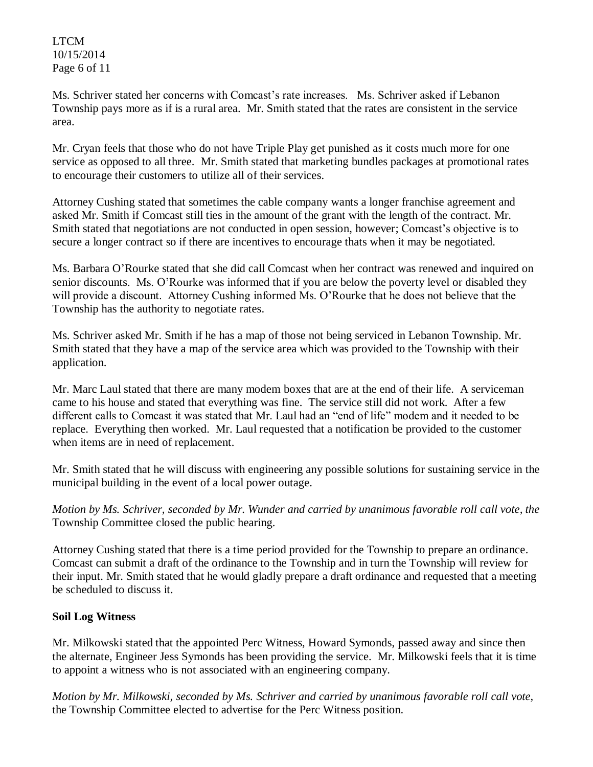LTCM 10/15/2014 Page 6 of 11

Ms. Schriver stated her concerns with Comcast's rate increases. Ms. Schriver asked if Lebanon Township pays more as if is a rural area. Mr. Smith stated that the rates are consistent in the service area.

Mr. Cryan feels that those who do not have Triple Play get punished as it costs much more for one service as opposed to all three. Mr. Smith stated that marketing bundles packages at promotional rates to encourage their customers to utilize all of their services.

Attorney Cushing stated that sometimes the cable company wants a longer franchise agreement and asked Mr. Smith if Comcast still ties in the amount of the grant with the length of the contract. Mr. Smith stated that negotiations are not conducted in open session, however; Comcast's objective is to secure a longer contract so if there are incentives to encourage thats when it may be negotiated.

Ms. Barbara O'Rourke stated that she did call Comcast when her contract was renewed and inquired on senior discounts. Ms. O'Rourke was informed that if you are below the poverty level or disabled they will provide a discount. Attorney Cushing informed Ms. O'Rourke that he does not believe that the Township has the authority to negotiate rates.

Ms. Schriver asked Mr. Smith if he has a map of those not being serviced in Lebanon Township. Mr. Smith stated that they have a map of the service area which was provided to the Township with their application.

Mr. Marc Laul stated that there are many modem boxes that are at the end of their life. A serviceman came to his house and stated that everything was fine. The service still did not work. After a few different calls to Comcast it was stated that Mr. Laul had an "end of life" modem and it needed to be replace. Everything then worked. Mr. Laul requested that a notification be provided to the customer when items are in need of replacement.

Mr. Smith stated that he will discuss with engineering any possible solutions for sustaining service in the municipal building in the event of a local power outage.

*Motion by Ms. Schriver, seconded by Mr. Wunder and carried by unanimous favorable roll call vote, the* Township Committee closed the public hearing.

Attorney Cushing stated that there is a time period provided for the Township to prepare an ordinance. Comcast can submit a draft of the ordinance to the Township and in turn the Township will review for their input. Mr. Smith stated that he would gladly prepare a draft ordinance and requested that a meeting be scheduled to discuss it.

# **Soil Log Witness**

Mr. Milkowski stated that the appointed Perc Witness, Howard Symonds, passed away and since then the alternate, Engineer Jess Symonds has been providing the service. Mr. Milkowski feels that it is time to appoint a witness who is not associated with an engineering company.

*Motion by Mr. Milkowski, seconded by Ms. Schriver and carried by unanimous favorable roll call vote,*  the Township Committee elected to advertise for the Perc Witness position.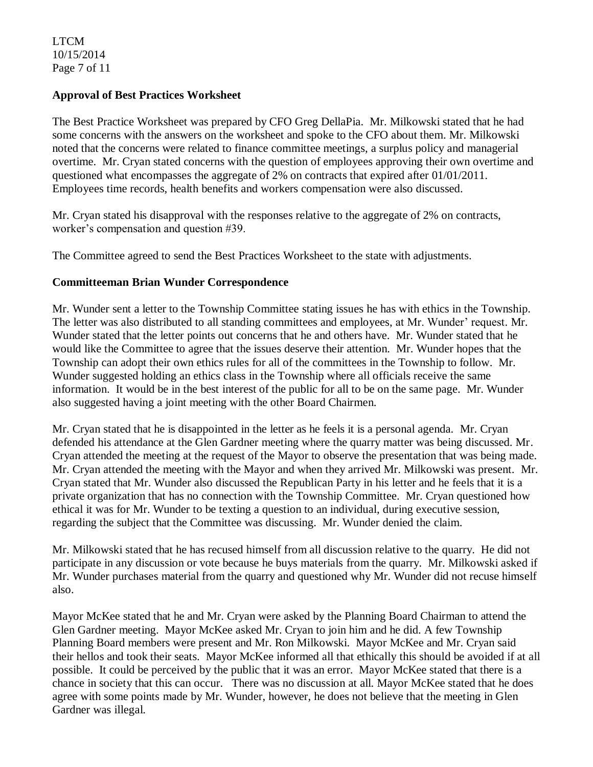LTCM 10/15/2014 Page 7 of 11

### **Approval of Best Practices Worksheet**

The Best Practice Worksheet was prepared by CFO Greg DellaPia. Mr. Milkowski stated that he had some concerns with the answers on the worksheet and spoke to the CFO about them. Mr. Milkowski noted that the concerns were related to finance committee meetings, a surplus policy and managerial overtime. Mr. Cryan stated concerns with the question of employees approving their own overtime and questioned what encompasses the aggregate of 2% on contracts that expired after 01/01/2011. Employees time records, health benefits and workers compensation were also discussed.

Mr. Cryan stated his disapproval with the responses relative to the aggregate of 2% on contracts, worker's compensation and question #39.

The Committee agreed to send the Best Practices Worksheet to the state with adjustments.

## **Committeeman Brian Wunder Correspondence**

Mr. Wunder sent a letter to the Township Committee stating issues he has with ethics in the Township. The letter was also distributed to all standing committees and employees, at Mr. Wunder' request. Mr. Wunder stated that the letter points out concerns that he and others have. Mr. Wunder stated that he would like the Committee to agree that the issues deserve their attention. Mr. Wunder hopes that the Township can adopt their own ethics rules for all of the committees in the Township to follow. Mr. Wunder suggested holding an ethics class in the Township where all officials receive the same information. It would be in the best interest of the public for all to be on the same page. Mr. Wunder also suggested having a joint meeting with the other Board Chairmen.

Mr. Cryan stated that he is disappointed in the letter as he feels it is a personal agenda. Mr. Cryan defended his attendance at the Glen Gardner meeting where the quarry matter was being discussed. Mr. Cryan attended the meeting at the request of the Mayor to observe the presentation that was being made. Mr. Cryan attended the meeting with the Mayor and when they arrived Mr. Milkowski was present. Mr. Cryan stated that Mr. Wunder also discussed the Republican Party in his letter and he feels that it is a private organization that has no connection with the Township Committee. Mr. Cryan questioned how ethical it was for Mr. Wunder to be texting a question to an individual, during executive session, regarding the subject that the Committee was discussing. Mr. Wunder denied the claim.

Mr. Milkowski stated that he has recused himself from all discussion relative to the quarry. He did not participate in any discussion or vote because he buys materials from the quarry. Mr. Milkowski asked if Mr. Wunder purchases material from the quarry and questioned why Mr. Wunder did not recuse himself also.

Mayor McKee stated that he and Mr. Cryan were asked by the Planning Board Chairman to attend the Glen Gardner meeting. Mayor McKee asked Mr. Cryan to join him and he did. A few Township Planning Board members were present and Mr. Ron Milkowski. Mayor McKee and Mr. Cryan said their hellos and took their seats. Mayor McKee informed all that ethically this should be avoided if at all possible. It could be perceived by the public that it was an error. Mayor McKee stated that there is a chance in society that this can occur. There was no discussion at all. Mayor McKee stated that he does agree with some points made by Mr. Wunder, however, he does not believe that the meeting in Glen Gardner was illegal.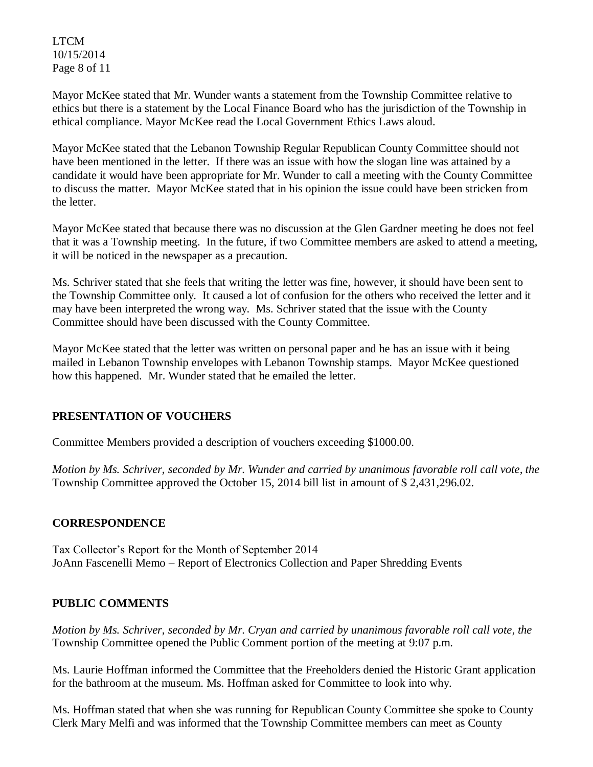LTCM 10/15/2014 Page 8 of 11

Mayor McKee stated that Mr. Wunder wants a statement from the Township Committee relative to ethics but there is a statement by the Local Finance Board who has the jurisdiction of the Township in ethical compliance. Mayor McKee read the Local Government Ethics Laws aloud.

Mayor McKee stated that the Lebanon Township Regular Republican County Committee should not have been mentioned in the letter. If there was an issue with how the slogan line was attained by a candidate it would have been appropriate for Mr. Wunder to call a meeting with the County Committee to discuss the matter. Mayor McKee stated that in his opinion the issue could have been stricken from the letter.

Mayor McKee stated that because there was no discussion at the Glen Gardner meeting he does not feel that it was a Township meeting. In the future, if two Committee members are asked to attend a meeting, it will be noticed in the newspaper as a precaution.

Ms. Schriver stated that she feels that writing the letter was fine, however, it should have been sent to the Township Committee only. It caused a lot of confusion for the others who received the letter and it may have been interpreted the wrong way. Ms. Schriver stated that the issue with the County Committee should have been discussed with the County Committee.

Mayor McKee stated that the letter was written on personal paper and he has an issue with it being mailed in Lebanon Township envelopes with Lebanon Township stamps. Mayor McKee questioned how this happened. Mr. Wunder stated that he emailed the letter.

## **PRESENTATION OF VOUCHERS**

Committee Members provided a description of vouchers exceeding \$1000.00.

*Motion by Ms. Schriver, seconded by Mr. Wunder and carried by unanimous favorable roll call vote, the* Township Committee approved the October 15, 2014 bill list in amount of \$ 2,431,296.02.

## **CORRESPONDENCE**

Tax Collector's Report for the Month of September 2014 JoAnn Fascenelli Memo – Report of Electronics Collection and Paper Shredding Events

## **PUBLIC COMMENTS**

*Motion by Ms. Schriver, seconded by Mr. Cryan and carried by unanimous favorable roll call vote, the* Township Committee opened the Public Comment portion of the meeting at 9:07 p.m.

Ms. Laurie Hoffman informed the Committee that the Freeholders denied the Historic Grant application for the bathroom at the museum. Ms. Hoffman asked for Committee to look into why.

Ms. Hoffman stated that when she was running for Republican County Committee she spoke to County Clerk Mary Melfi and was informed that the Township Committee members can meet as County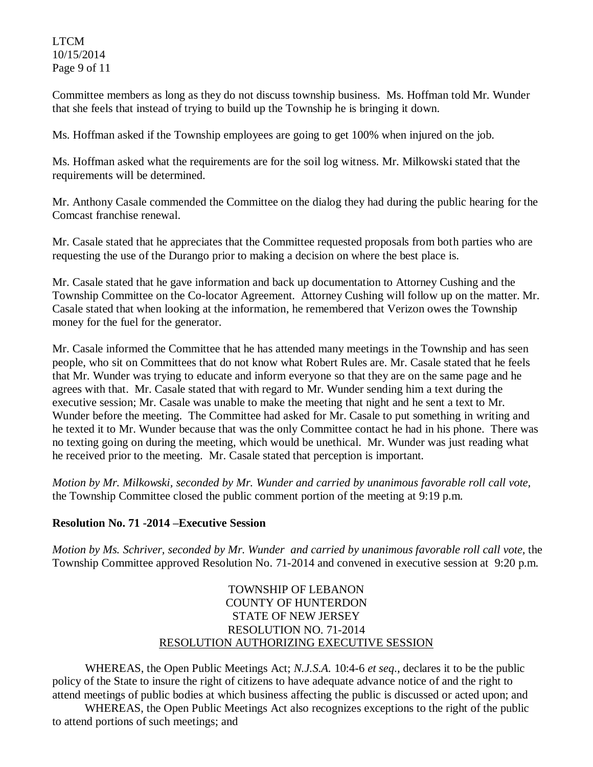LTCM 10/15/2014 Page 9 of 11

Committee members as long as they do not discuss township business. Ms. Hoffman told Mr. Wunder that she feels that instead of trying to build up the Township he is bringing it down.

Ms. Hoffman asked if the Township employees are going to get 100% when injured on the job.

Ms. Hoffman asked what the requirements are for the soil log witness. Mr. Milkowski stated that the requirements will be determined.

Mr. Anthony Casale commended the Committee on the dialog they had during the public hearing for the Comcast franchise renewal.

Mr. Casale stated that he appreciates that the Committee requested proposals from both parties who are requesting the use of the Durango prior to making a decision on where the best place is.

Mr. Casale stated that he gave information and back up documentation to Attorney Cushing and the Township Committee on the Co-locator Agreement. Attorney Cushing will follow up on the matter. Mr. Casale stated that when looking at the information, he remembered that Verizon owes the Township money for the fuel for the generator.

Mr. Casale informed the Committee that he has attended many meetings in the Township and has seen people, who sit on Committees that do not know what Robert Rules are. Mr. Casale stated that he feels that Mr. Wunder was trying to educate and inform everyone so that they are on the same page and he agrees with that. Mr. Casale stated that with regard to Mr. Wunder sending him a text during the executive session; Mr. Casale was unable to make the meeting that night and he sent a text to Mr. Wunder before the meeting. The Committee had asked for Mr. Casale to put something in writing and he texted it to Mr. Wunder because that was the only Committee contact he had in his phone. There was no texting going on during the meeting, which would be unethical. Mr. Wunder was just reading what he received prior to the meeting. Mr. Casale stated that perception is important.

*Motion by Mr. Milkowski, seconded by Mr. Wunder and carried by unanimous favorable roll call vote,* the Township Committee closed the public comment portion of the meeting at 9:19 p.m.

## **Resolution No. 71 -2014 –Executive Session**

*Motion by Ms. Schriver, seconded by Mr. Wunder and carried by unanimous favorable roll call vote,* the Township Committee approved Resolution No. 71-2014 and convened in executive session at 9:20 p.m.

## TOWNSHIP OF LEBANON COUNTY OF HUNTERDON STATE OF NEW JERSEY RESOLUTION NO. 71-2014 RESOLUTION AUTHORIZING EXECUTIVE SESSION

WHEREAS, the Open Public Meetings Act; *N.J.S.A.* 10:4-6 *et seq*., declares it to be the public policy of the State to insure the right of citizens to have adequate advance notice of and the right to attend meetings of public bodies at which business affecting the public is discussed or acted upon; and

WHEREAS, the Open Public Meetings Act also recognizes exceptions to the right of the public to attend portions of such meetings; and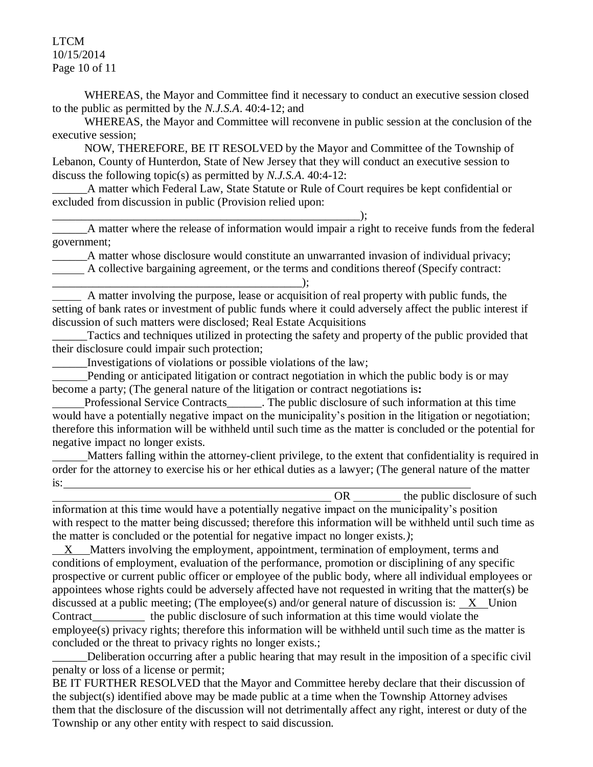LTCM 10/15/2014 Page 10 of 11

 WHEREAS, the Mayor and Committee find it necessary to conduct an executive session closed to the public as permitted by the *N.J.S.A*. 40:4-12; and

 WHEREAS, the Mayor and Committee will reconvene in public session at the conclusion of the executive session;

 NOW, THEREFORE, BE IT RESOLVED by the Mayor and Committee of the Township of Lebanon, County of Hunterdon, State of New Jersey that they will conduct an executive session to discuss the following topic(s) as permitted by *N.J.S.A*. 40:4-12:

A matter which Federal Law, State Statute or Rule of Court requires be kept confidential or excluded from discussion in public (Provision relied upon:

\_\_\_\_\_\_A matter where the release of information would impair a right to receive funds from the federal government;

A matter whose disclosure would constitute an unwarranted invasion of individual privacy; A collective bargaining agreement, or the terms and conditions thereof (Specify contract:

A matter involving the purpose, lease or acquisition of real property with public funds, the setting of bank rates or investment of public funds where it could adversely affect the public interest if discussion of such matters were disclosed; Real Estate Acquisitions

Tactics and techniques utilized in protecting the safety and property of the public provided that their disclosure could impair such protection;

\_\_\_\_\_\_Investigations of violations or possible violations of the law;

\_\_\_\_\_\_\_\_\_\_\_\_\_\_\_\_\_\_\_\_\_\_\_\_\_\_\_\_\_\_\_\_\_\_\_\_\_\_\_\_\_\_\_\_\_\_\_\_\_\_\_\_\_);

\_\_\_\_\_\_\_\_\_\_\_\_\_\_\_\_\_\_\_\_\_\_\_\_\_\_\_\_\_\_\_\_\_\_\_\_\_\_\_\_\_\_\_);

 Pending or anticipated litigation or contract negotiation in which the public body is or may become a party; (The general nature of the litigation or contract negotiations is**:**

 Professional Service Contracts\_\_\_\_\_\_. The public disclosure of such information at this time would have a potentially negative impact on the municipality's position in the litigation or negotiation; therefore this information will be withheld until such time as the matter is concluded or the potential for negative impact no longer exists.

 Matters falling within the attorney-client privilege, to the extent that confidentiality is required in order for the attorney to exercise his or her ethical duties as a lawyer; (The general nature of the matter is:

OR the public disclosure of such information at this time would have a potentially negative impact on the municipality's position with respect to the matter being discussed; therefore this information will be withheld until such time as the matter is concluded or the potential for negative impact no longer exists.*)*;

 X Matters involving the employment, appointment, termination of employment, terms and conditions of employment, evaluation of the performance, promotion or disciplining of any specific prospective or current public officer or employee of the public body, where all individual employees or appointees whose rights could be adversely affected have not requested in writing that the matter(s) be discussed at a public meeting; (The employee(s) and/or general nature of discussion is: X Union Contract the public disclosure of such information at this time would violate the employee(s) privacy rights; therefore this information will be withheld until such time as the matter is concluded or the threat to privacy rights no longer exists.;

Deliberation occurring after a public hearing that may result in the imposition of a specific civil penalty or loss of a license or permit;

BE IT FURTHER RESOLVED that the Mayor and Committee hereby declare that their discussion of the subject(s) identified above may be made public at a time when the Township Attorney advises them that the disclosure of the discussion will not detrimentally affect any right, interest or duty of the Township or any other entity with respect to said discussion.